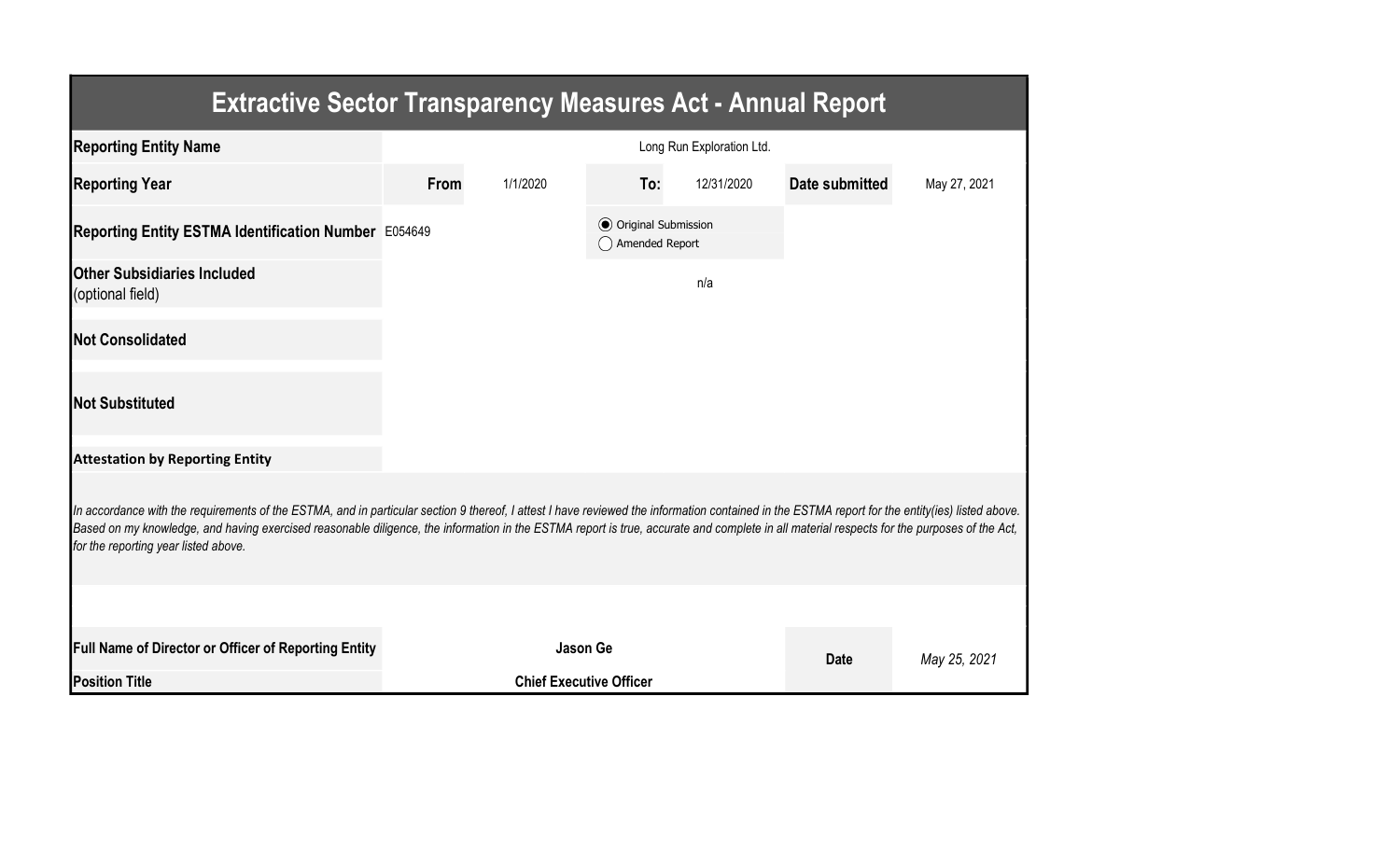| <b>Extractive Sector Transparency Measures Act - Annual Report</b>                                                                                                                                                                                                                                                                                                                                                                    |                           |                                |                                                  |            |                |              |  |  |  |  |
|---------------------------------------------------------------------------------------------------------------------------------------------------------------------------------------------------------------------------------------------------------------------------------------------------------------------------------------------------------------------------------------------------------------------------------------|---------------------------|--------------------------------|--------------------------------------------------|------------|----------------|--------------|--|--|--|--|
| <b>Reporting Entity Name</b>                                                                                                                                                                                                                                                                                                                                                                                                          | Long Run Exploration Ltd. |                                |                                                  |            |                |              |  |  |  |  |
| <b>Reporting Year</b>                                                                                                                                                                                                                                                                                                                                                                                                                 | From                      | 1/1/2020                       | To:                                              | 12/31/2020 | Date submitted | May 27, 2021 |  |  |  |  |
| Reporting Entity ESTMA Identification Number E054649                                                                                                                                                                                                                                                                                                                                                                                  |                           |                                | <b>⊙</b> Original Submission<br>◯ Amended Report |            |                |              |  |  |  |  |
| <b>Other Subsidiaries Included</b><br>(optional field)                                                                                                                                                                                                                                                                                                                                                                                |                           |                                |                                                  | n/a        |                |              |  |  |  |  |
| <b>Not Consolidated</b>                                                                                                                                                                                                                                                                                                                                                                                                               |                           |                                |                                                  |            |                |              |  |  |  |  |
| <b>Not Substituted</b>                                                                                                                                                                                                                                                                                                                                                                                                                |                           |                                |                                                  |            |                |              |  |  |  |  |
| <b>Attestation by Reporting Entity</b>                                                                                                                                                                                                                                                                                                                                                                                                |                           |                                |                                                  |            |                |              |  |  |  |  |
| In accordance with the requirements of the ESTMA, and in particular section 9 thereof, I attest I have reviewed the information contained in the ESTMA report for the entity(ies) listed above.<br>Based on my knowledge, and having exercised reasonable diligence, the information in the ESTMA report is true, accurate and complete in all material respects for the purposes of the Act,<br>for the reporting year listed above. |                           |                                |                                                  |            |                |              |  |  |  |  |
|                                                                                                                                                                                                                                                                                                                                                                                                                                       |                           |                                |                                                  |            |                |              |  |  |  |  |
| <b>Full Name of Director or Officer of Reporting Entity</b>                                                                                                                                                                                                                                                                                                                                                                           |                           | <b>Jason Ge</b>                |                                                  |            | <b>Date</b>    | May 25, 2021 |  |  |  |  |
| <b>Position Title</b>                                                                                                                                                                                                                                                                                                                                                                                                                 |                           | <b>Chief Executive Officer</b> |                                                  |            |                |              |  |  |  |  |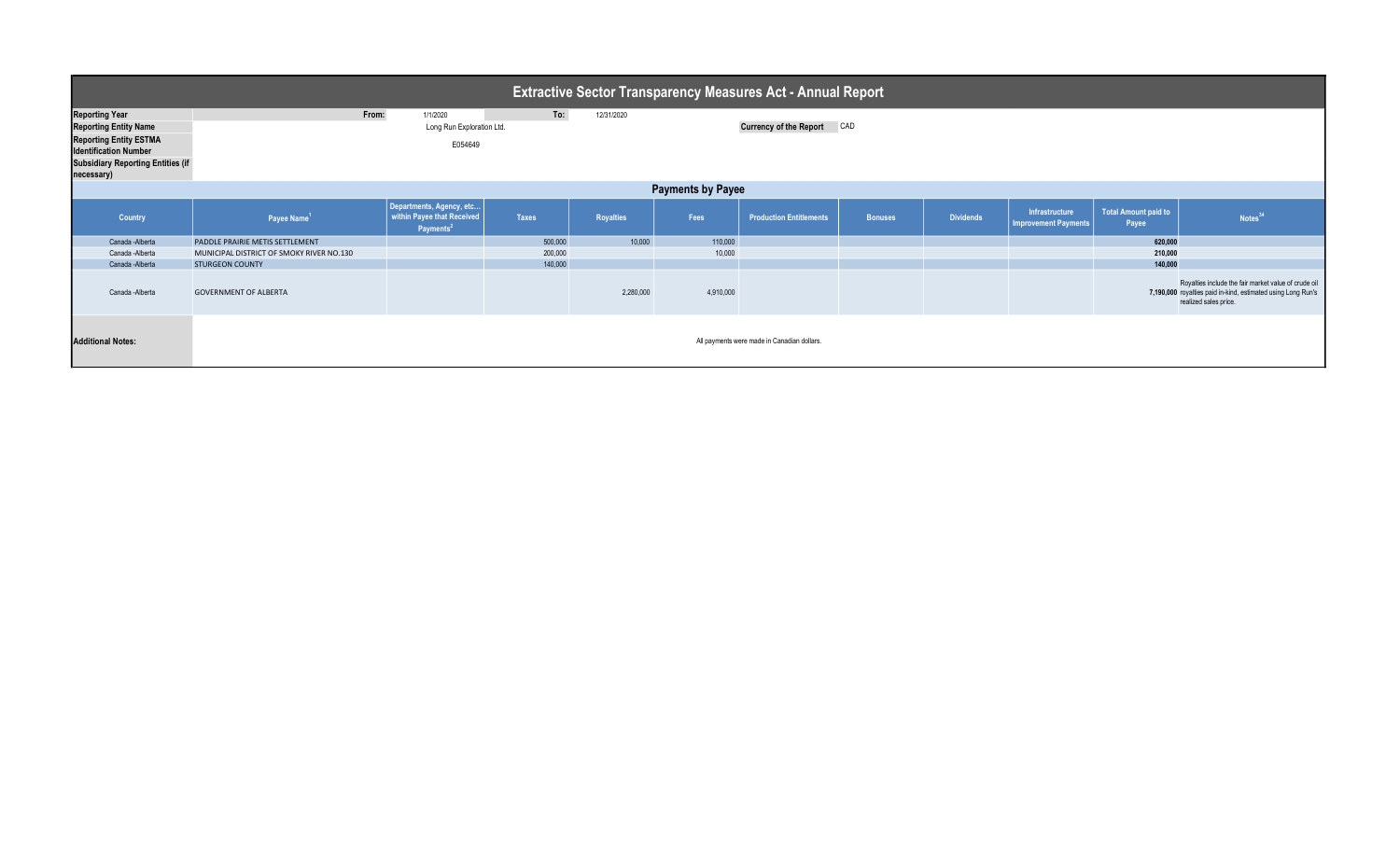| <b>Extractive Sector Transparency Measures Act - Annual Report</b> |                                             |                                                                                 |              |                  |           |                                |                |                  |                                               |                                      |                                                                                                                                               |
|--------------------------------------------------------------------|---------------------------------------------|---------------------------------------------------------------------------------|--------------|------------------|-----------|--------------------------------|----------------|------------------|-----------------------------------------------|--------------------------------------|-----------------------------------------------------------------------------------------------------------------------------------------------|
| <b>Reporting Year</b>                                              | From:                                       | 1/1/2020                                                                        | To:          | 12/31/2020       |           |                                |                |                  |                                               |                                      |                                                                                                                                               |
| <b>Reporting Entity Name</b>                                       |                                             | Long Run Exploration Ltd.                                                       |              |                  |           | Currency of the Report CAD     |                |                  |                                               |                                      |                                                                                                                                               |
| <b>Reporting Entity ESTMA</b>                                      | E054649                                     |                                                                                 |              |                  |           |                                |                |                  |                                               |                                      |                                                                                                                                               |
| <b>Identification Number</b>                                       |                                             |                                                                                 |              |                  |           |                                |                |                  |                                               |                                      |                                                                                                                                               |
| <b>Subsidiary Reporting Entities (if</b>                           |                                             |                                                                                 |              |                  |           |                                |                |                  |                                               |                                      |                                                                                                                                               |
| necessary)                                                         |                                             |                                                                                 |              |                  |           |                                |                |                  |                                               |                                      |                                                                                                                                               |
| <b>Payments by Payee</b>                                           |                                             |                                                                                 |              |                  |           |                                |                |                  |                                               |                                      |                                                                                                                                               |
| Country                                                            | Payee Name <sup>1</sup>                     | Departments, Agency, etc<br>within Payee that Received<br>Payments <sup>2</sup> | <b>Taxes</b> | <b>Royalties</b> | Fees      | <b>Production Entitlements</b> | <b>Bonuses</b> | <b>Dividends</b> | Infrastructure<br><b>Improvement Payments</b> | <b>Total Amount paid to</b><br>Payee | Notes <sup>34</sup>                                                                                                                           |
| Canada - Alberta                                                   | PADDLE PRAIRIE METIS SETTLEMENT             |                                                                                 | 500,000      | 10,000           | 110,000   |                                |                |                  |                                               | 620.000                              |                                                                                                                                               |
| Canada - Alberta                                                   | MUNICIPAL DISTRICT OF SMOKY RIVER NO.130    |                                                                                 | 200,000      |                  | 10,000    |                                |                |                  |                                               | 210,000                              |                                                                                                                                               |
| Canada - Alberta                                                   | <b>STURGEON COUNTY</b>                      |                                                                                 | 140,000      |                  |           |                                |                |                  |                                               | 140,000                              |                                                                                                                                               |
| Canada - Alberta                                                   | <b>GOVERNMENT OF ALBERTA</b>                |                                                                                 |              | 2,280,000        | 4,910,000 |                                |                |                  |                                               |                                      | Royalties include the fair market value of crude oil<br>7,190,000 royalties paid in-kind, estimated using Long Run's<br>realized sales price. |
| <b>Additional Notes:</b>                                           | All payments were made in Canadian dollars. |                                                                                 |              |                  |           |                                |                |                  |                                               |                                      |                                                                                                                                               |